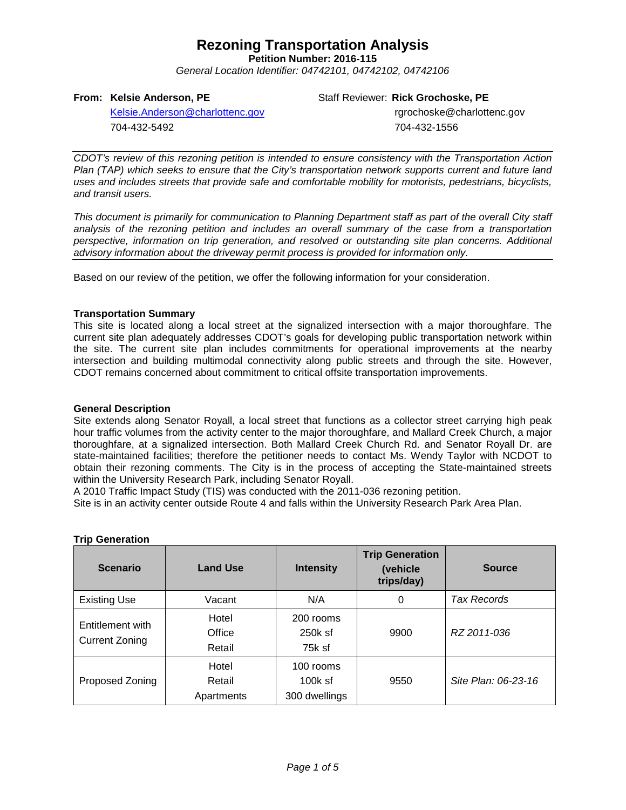## **Rezoning Transportation Analysis**

**Petition Number: 2016-115**

*General Location Identifier: 04742101, 04742102, 04742106*

#### **From: Kelsie Anderson, PE**

Staff Reviewer: **Rick Grochoske, PE**

[Kelsie.Anderson@charlottenc.gov](mailto:Kelsie.Anderson@charlottenc.gov) 704-432-5492

rgrochoske@charlottenc.gov 704-432-1556

*CDOT's review of this rezoning petition is intended to ensure consistency with the Transportation Action Plan (TAP) which seeks to ensure that the City's transportation network supports current and future land uses and includes streets that provide safe and comfortable mobility for motorists, pedestrians, bicyclists, and transit users.*

*This document is primarily for communication to Planning Department staff as part of the overall City staff analysis of the rezoning petition and includes an overall summary of the case from a transportation perspective, information on trip generation, and resolved or outstanding site plan concerns. Additional advisory information about the driveway permit process is provided for information only.*

Based on our review of the petition, we offer the following information for your consideration.

#### **Transportation Summary**

This site is located along a local street at the signalized intersection with a major thoroughfare. The current site plan adequately addresses CDOT's goals for developing public transportation network within the site. The current site plan includes commitments for operational improvements at the nearby intersection and building multimodal connectivity along public streets and through the site. However, CDOT remains concerned about commitment to critical offsite transportation improvements.

#### **General Description**

Site extends along Senator Royall, a local street that functions as a collector street carrying high peak hour traffic volumes from the activity center to the major thoroughfare, and Mallard Creek Church, a major thoroughfare, at a signalized intersection. Both Mallard Creek Church Rd. and Senator Royall Dr. are state-maintained facilities; therefore the petitioner needs to contact Ms. Wendy Taylor with NCDOT to obtain their rezoning comments. The City is in the process of accepting the State-maintained streets within the University Research Park, including Senator Royall.

A 2010 Traffic Impact Study (TIS) was conducted with the 2011-036 rezoning petition.

Site is in an activity center outside Route 4 and falls within the University Research Park Area Plan.

| <b>Scenario</b>                           | <b>Land Use</b>               | <b>Intensity</b>                        | <b>Trip Generation</b><br>(vehicle<br>trips/day) | <b>Source</b>       |
|-------------------------------------------|-------------------------------|-----------------------------------------|--------------------------------------------------|---------------------|
| <b>Existing Use</b>                       | Vacant                        | N/A                                     | 0                                                | <b>Tax Records</b>  |
| Entitlement with<br><b>Current Zoning</b> | Hotel<br>Office<br>Retail     | 200 rooms<br>250k sf<br>75k sf          | 9900                                             | RZ 2011-036         |
| Proposed Zoning                           | Hotel<br>Retail<br>Apartments | 100 rooms<br>$100k$ sf<br>300 dwellings | 9550                                             | Site Plan: 06-23-16 |

### **Trip Generation**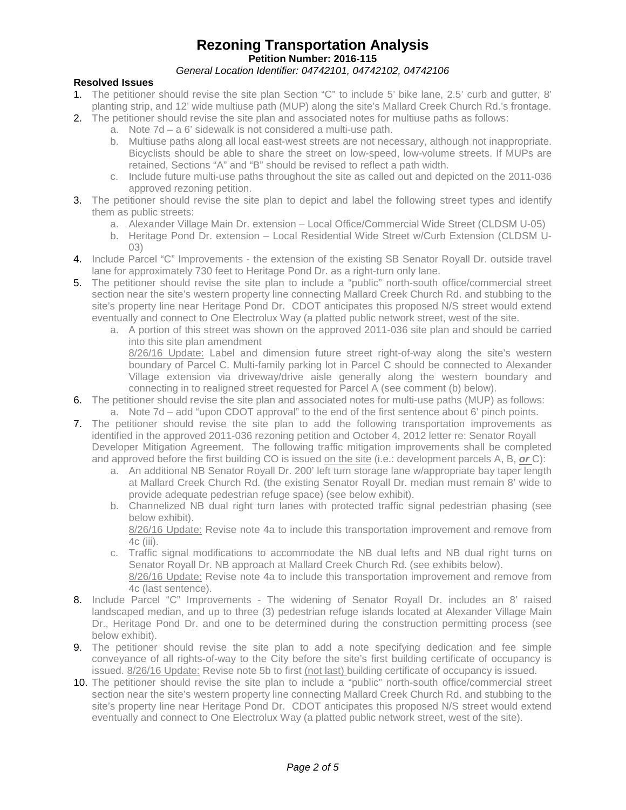## **Rezoning Transportation Analysis Petition Number: 2016-115**

## *General Location Identifier: 04742101, 04742102, 04742106*

## **Resolved Issues**

- 1. The petitioner should revise the site plan Section "C" to include 5' bike lane, 2.5' curb and gutter, 8' planting strip, and 12' wide multiuse path (MUP) along the site's Mallard Creek Church Rd.'s frontage.
- 2. The petitioner should revise the site plan and associated notes for multiuse paths as follows:
	- a. Note 7d a 6' sidewalk is not considered a multi-use path.
	- b. Multiuse paths along all local east-west streets are not necessary, although not inappropriate. Bicyclists should be able to share the street on low-speed, low-volume streets. If MUPs are retained, Sections "A" and "B" should be revised to reflect a path width.
	- c. Include future multi-use paths throughout the site as called out and depicted on the 2011-036 approved rezoning petition.
- 3. The petitioner should revise the site plan to depict and label the following street types and identify them as public streets:
	- a. Alexander Village Main Dr. extension Local Office/Commercial Wide Street (CLDSM U-05)
	- b. Heritage Pond Dr. extension Local Residential Wide Street w/Curb Extension (CLDSM U-03)
- 4. Include Parcel "C" Improvements the extension of the existing SB Senator Royall Dr. outside travel lane for approximately 730 feet to Heritage Pond Dr. as a right-turn only lane.
- 5. The petitioner should revise the site plan to include a "public" north-south office/commercial street section near the site's western property line connecting Mallard Creek Church Rd. and stubbing to the site's property line near Heritage Pond Dr. CDOT anticipates this proposed N/S street would extend eventually and connect to One Electrolux Way (a platted public network street, west of the site.
	- a. A portion of this street was shown on the approved 2011-036 site plan and should be carried into this site plan amendment

8/26/16 Update: Label and dimension future street right-of-way along the site's western boundary of Parcel C. Multi-family parking lot in Parcel C should be connected to Alexander Village extension via driveway/drive aisle generally along the western boundary and connecting in to realigned street requested for Parcel A (see comment (b) below).

- 6. The petitioner should revise the site plan and associated notes for multi-use paths (MUP) as follows:
	- a. Note 7d add "upon CDOT approval" to the end of the first sentence about 6' pinch points.
- 7. The petitioner should revise the site plan to add the following transportation improvements as identified in the approved 2011-036 rezoning petition and October 4, 2012 letter re: Senator Royall Developer Mitigation Agreement. The following traffic mitigation improvements shall be completed and approved before the first building CO is issued on the site (i.e.: development parcels A, B, *or* C):
	- a. An additional NB Senator Royall Dr. 200' left turn storage lane w/appropriate bay taper length at Mallard Creek Church Rd. (the existing Senator Royall Dr. median must remain 8' wide to provide adequate pedestrian refuge space) (see below exhibit).
	- b. Channelized NB dual right turn lanes with protected traffic signal pedestrian phasing (see below exhibit).

8/26/16 Update: Revise note 4a to include this transportation improvement and remove from 4c (iii).

- c. Traffic signal modifications to accommodate the NB dual lefts and NB dual right turns on Senator Royall Dr. NB approach at Mallard Creek Church Rd. (see exhibits below). 8/26/16 Update: Revise note 4a to include this transportation improvement and remove from 4c (last sentence).
- 8. Include Parcel "C" Improvements The widening of Senator Royall Dr. includes an 8' raised landscaped median, and up to three (3) pedestrian refuge islands located at Alexander Village Main Dr., Heritage Pond Dr. and one to be determined during the construction permitting process (see below exhibit).
- 9. The petitioner should revise the site plan to add a note specifying dedication and fee simple conveyance of all rights-of-way to the City before the site's first building certificate of occupancy is issued. 8/26/16 Update: Revise note 5b to first (not last) building certificate of occupancy is issued.
- 10. The petitioner should revise the site plan to include a "public" north-south office/commercial street section near the site's western property line connecting Mallard Creek Church Rd. and stubbing to the site's property line near Heritage Pond Dr. CDOT anticipates this proposed N/S street would extend eventually and connect to One Electrolux Way (a platted public network street, west of the site).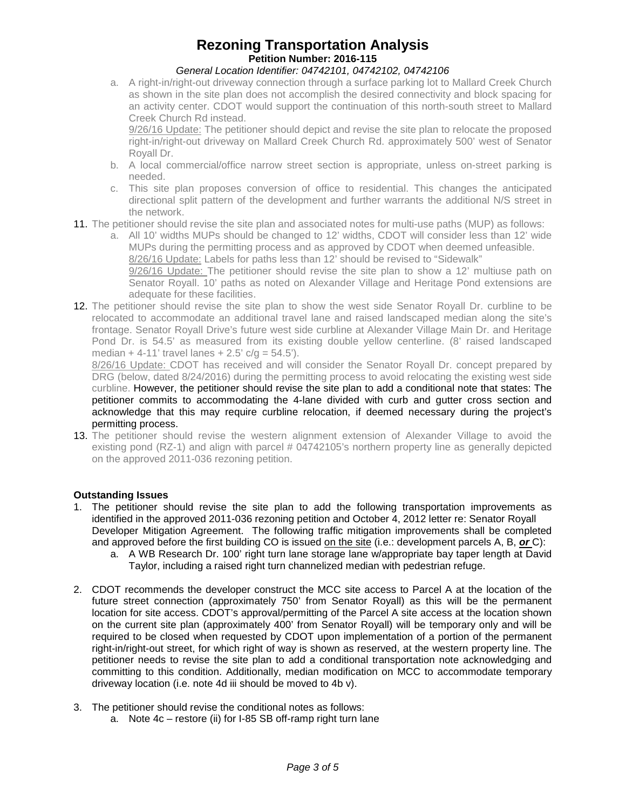## **Rezoning Transportation Analysis Petition Number: 2016-115**

### *General Location Identifier: 04742101, 04742102, 04742106*

a. A right-in/right-out driveway connection through a surface parking lot to Mallard Creek Church as shown in the site plan does not accomplish the desired connectivity and block spacing for an activity center. CDOT would support the continuation of this north-south street to Mallard Creek Church Rd instead.

9/26/16 Update: The petitioner should depict and revise the site plan to relocate the proposed right-in/right-out driveway on Mallard Creek Church Rd. approximately 500' west of Senator Royall Dr.

- b. A local commercial/office narrow street section is appropriate, unless on-street parking is needed.
- c. This site plan proposes conversion of office to residential. This changes the anticipated directional split pattern of the development and further warrants the additional N/S street in the network.
- 11. The petitioner should revise the site plan and associated notes for multi-use paths (MUP) as follows:
	- a. All 10' widths MUPs should be changed to 12' widths, CDOT will consider less than 12' wide MUPs during the permitting process and as approved by CDOT when deemed unfeasible. 8/26/16 Update: Labels for paths less than 12' should be revised to "Sidewalk" 9/26/16 Update: The petitioner should revise the site plan to show a 12' multiuse path on Senator Royall. 10' paths as noted on Alexander Village and Heritage Pond extensions are adequate for these facilities.
- 12. The petitioner should revise the site plan to show the west side Senator Royall Dr. curbline to be relocated to accommodate an additional travel lane and raised landscaped median along the site's frontage. Senator Royall Drive's future west side curbline at Alexander Village Main Dr. and Heritage Pond Dr. is 54.5' as measured from its existing double yellow centerline. (8' raised landscaped median + 4-11' travel lanes +  $2.5'$  c/g =  $54.5'$ ).

8/26/16 Update: CDOT has received and will consider the Senator Royall Dr. concept prepared by DRG (below, dated 8/24/2016) during the permitting process to avoid relocating the existing west side curbline. However, the petitioner should revise the site plan to add a conditional note that states: The petitioner commits to accommodating the 4-lane divided with curb and gutter cross section and acknowledge that this may require curbline relocation, if deemed necessary during the project's permitting process.

13. The petitioner should revise the western alignment extension of Alexander Village to avoid the existing pond (RZ-1) and align with parcel # 04742105's northern property line as generally depicted on the approved 2011-036 rezoning petition.

## **Outstanding Issues**

- 1. The petitioner should revise the site plan to add the following transportation improvements as identified in the approved 2011-036 rezoning petition and October 4, 2012 letter re: Senator Royall Developer Mitigation Agreement. The following traffic mitigation improvements shall be completed and approved before the first building CO is issued on the site (i.e.: development parcels A, B, *or* C):
	- a. A WB Research Dr. 100' right turn lane storage lane w/appropriate bay taper length at David Taylor, including a raised right turn channelized median with pedestrian refuge.
- 2. CDOT recommends the developer construct the MCC site access to Parcel A at the location of the future street connection (approximately 750' from Senator Royall) as this will be the permanent location for site access. CDOT's approval/permitting of the Parcel A site access at the location shown on the current site plan (approximately 400' from Senator Royall) will be temporary only and will be required to be closed when requested by CDOT upon implementation of a portion of the permanent right-in/right-out street, for which right of way is shown as reserved, at the western property line. The petitioner needs to revise the site plan to add a conditional transportation note acknowledging and committing to this condition. Additionally, median modification on MCC to accommodate temporary driveway location (i.e. note 4d iii should be moved to 4b v).
- 3. The petitioner should revise the conditional notes as follows:
	- a. Note 4c restore (ii) for I-85 SB off-ramp right turn lane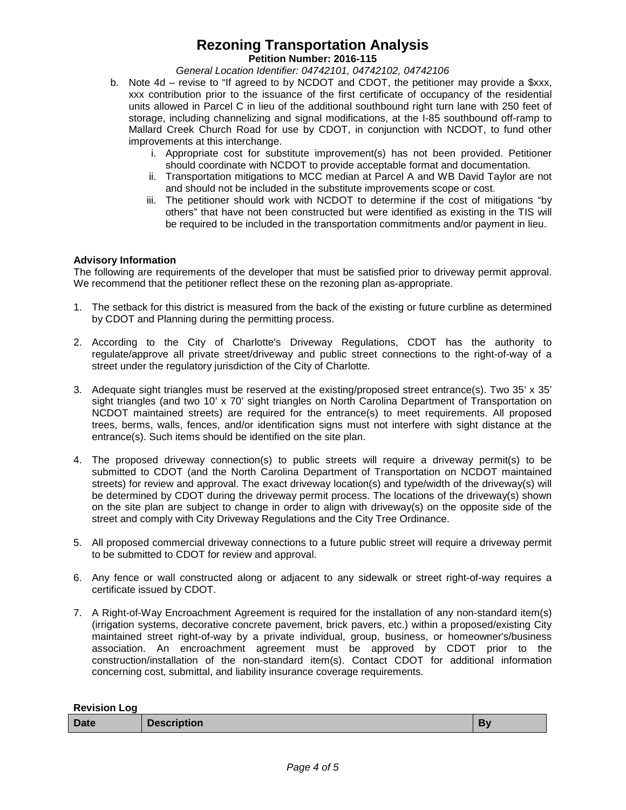# **Rezoning Transportation Analysis**

**Petition Number: 2016-115**

*General Location Identifier: 04742101, 04742102, 04742106*

- b. Note 4d revise to "If agreed to by NCDOT and CDOT, the petitioner may provide a \$xxx, xxx contribution prior to the issuance of the first certificate of occupancy of the residential units allowed in Parcel C in lieu of the additional southbound right turn lane with 250 feet of storage, including channelizing and signal modifications, at the I-85 southbound off-ramp to Mallard Creek Church Road for use by CDOT, in conjunction with NCDOT, to fund other improvements at this interchange.
	- i. Appropriate cost for substitute improvement(s) has not been provided. Petitioner should coordinate with NCDOT to provide acceptable format and documentation.
	- ii. Transportation mitigations to MCC median at Parcel A and WB David Taylor are not and should not be included in the substitute improvements scope or cost.
	- iii. The petitioner should work with NCDOT to determine if the cost of mitigations "by others" that have not been constructed but were identified as existing in the TIS will be required to be included in the transportation commitments and/or payment in lieu.

### **Advisory Information**

The following are requirements of the developer that must be satisfied prior to driveway permit approval. We recommend that the petitioner reflect these on the rezoning plan as-appropriate.

- 1. The setback for this district is measured from the back of the existing or future curbline as determined by CDOT and Planning during the permitting process.
- 2. According to the City of Charlotte's Driveway Regulations, CDOT has the authority to regulate/approve all private street/driveway and public street connections to the right-of-way of a street under the regulatory jurisdiction of the City of Charlotte.
- 3. Adequate sight triangles must be reserved at the existing/proposed street entrance(s). Two 35' x 35' sight triangles (and two 10' x 70' sight triangles on North Carolina Department of Transportation on NCDOT maintained streets) are required for the entrance(s) to meet requirements. All proposed trees, berms, walls, fences, and/or identification signs must not interfere with sight distance at the entrance(s). Such items should be identified on the site plan.
- 4. The proposed driveway connection(s) to public streets will require a driveway permit(s) to be submitted to CDOT (and the North Carolina Department of Transportation on NCDOT maintained streets) for review and approval. The exact driveway location(s) and type/width of the driveway(s) will be determined by CDOT during the driveway permit process. The locations of the driveway(s) shown on the site plan are subject to change in order to align with driveway(s) on the opposite side of the street and comply with City Driveway Regulations and the City Tree Ordinance.
- 5. All proposed commercial driveway connections to a future public street will require a driveway permit to be submitted to CDOT for review and approval.
- 6. Any fence or wall constructed along or adjacent to any sidewalk or street right-of-way requires a certificate issued by CDOT.
- 7. A Right-of-Way Encroachment Agreement is required for the installation of any non-standard item(s) (irrigation systems, decorative concrete pavement, brick pavers, etc.) within a proposed/existing City maintained street right-of-way by a private individual, group, business, or homeowner's/business association. An encroachment agreement must be approved by CDOT prior to the construction/installation of the non-standard item(s). Contact CDOT for additional information concerning cost, submittal, and liability insurance coverage requirements.

| <b>Revision Log</b> |                    |    |
|---------------------|--------------------|----|
| <b>Date</b>         | <b>Description</b> | Bv |